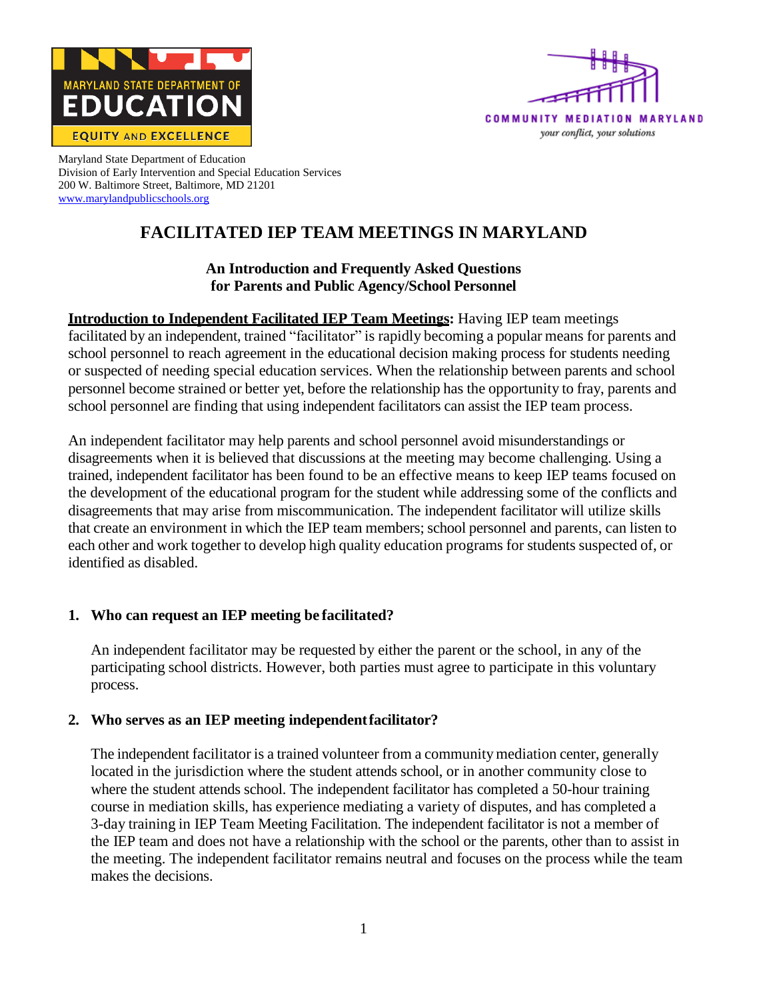



Maryland State Department of Education Division of Early Intervention and Special Education Services 200 W. Baltimore Street, Baltimore, MD 21201 [www.marylandpublicschools.org](http://www.marylandpublicschools.org/)

# **FACILITATED IEP TEAM MEETINGS IN MARYLAND**

## **An Introduction and Frequently Asked Questions for Parents and Public Agency/School Personnel**

**Introduction to Independent Facilitated IEP Team Meetings:** Having IEP team meetings facilitated by an independent, trained "facilitator" is rapidly becoming a popular means for parents and school personnel to reach agreement in the educational decision making process for students needing or suspected of needing special education services. When the relationship between parents and school personnel become strained or better yet, before the relationship has the opportunity to fray, parents and school personnel are finding that using independent facilitators can assist the IEP team process.

An independent facilitator may help parents and school personnel avoid misunderstandings or disagreements when it is believed that discussions at the meeting may become challenging. Using a trained, independent facilitator has been found to be an effective means to keep IEP teams focused on the development of the educational program for the student while addressing some of the conflicts and disagreements that may arise from miscommunication. The independent facilitator will utilize skills that create an environment in which the IEP team members; school personnel and parents, can listen to each other and work together to develop high quality education programs for students suspected of, or identified as disabled.

## **1. Who can request an IEP meeting be facilitated?**

An independent facilitator may be requested by either the parent or the school, in any of the participating school districts. However, both parties must agree to participate in this voluntary process.

## **2. Who serves as an IEP meeting independentfacilitator?**

The independent facilitator is a trained volunteer from a community mediation center, generally located in the jurisdiction where the student attends school, or in another community close to where the student attends school. The independent facilitator has completed a 50-hour training course in mediation skills, has experience mediating a variety of disputes, and has completed a 3-day training in IEP Team Meeting Facilitation. The independent facilitator is not a member of the IEP team and does not have a relationship with the school or the parents, other than to assist in the meeting. The independent facilitator remains neutral and focuses on the process while the team makes the decisions.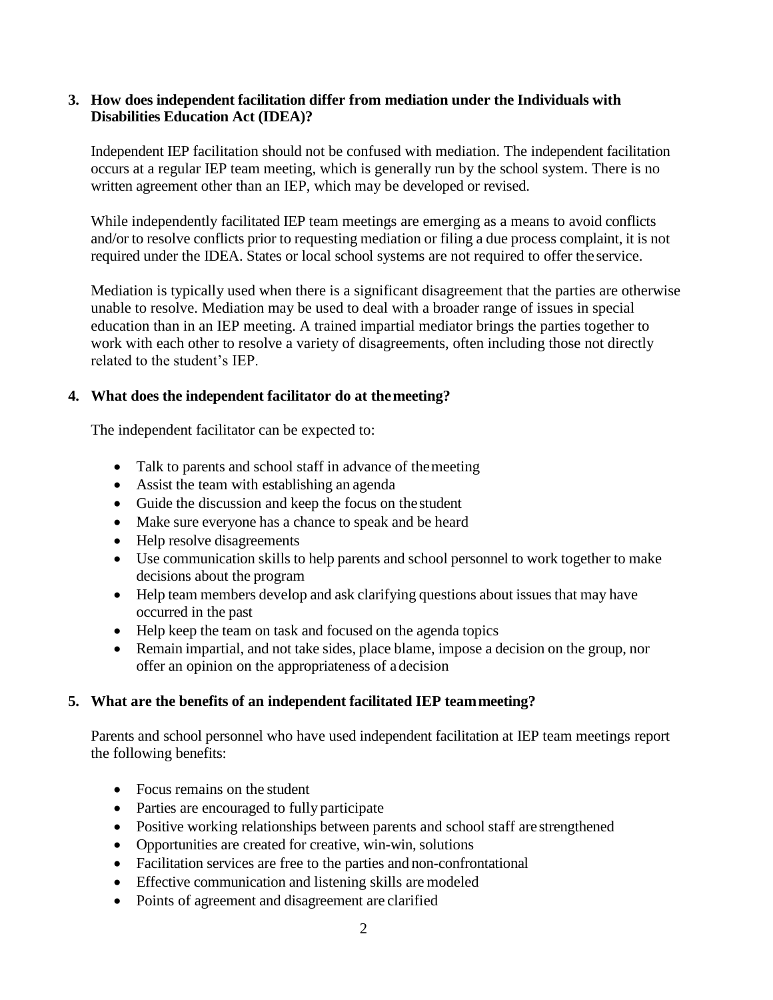#### **3. How does independent facilitation differ from mediation under the Individuals with Disabilities Education Act (IDEA)?**

Independent IEP facilitation should not be confused with mediation. The independent facilitation occurs at a regular IEP team meeting, which is generally run by the school system. There is no written agreement other than an IEP, which may be developed or revised.

While independently facilitated IEP team meetings are emerging as a means to avoid conflicts and/or to resolve conflicts prior to requesting mediation or filing a due process complaint, it is not required under the IDEA. States or local school systems are not required to offer theservice.

Mediation is typically used when there is a significant disagreement that the parties are otherwise unable to resolve. Mediation may be used to deal with a broader range of issues in special education than in an IEP meeting. A trained impartial mediator brings the parties together to work with each other to resolve a variety of disagreements, often including those not directly related to the student's IEP.

#### **4. What does the independent facilitator do at themeeting?**

The independent facilitator can be expected to:

- Talk to parents and school staff in advance of the meeting
- Assist the team with establishing an agenda
- Guide the discussion and keep the focus on the student
- Make sure everyone has a chance to speak and be heard
- Help resolve disagreements
- Use communication skills to help parents and school personnel to work together to make decisions about the program
- Help team members develop and ask clarifying questions about issues that may have occurred in the past
- Help keep the team on task and focused on the agenda topics
- Remain impartial, and not take sides, place blame, impose a decision on the group, nor offer an opinion on the appropriateness of adecision

## **5. What are the benefits of an independent facilitated IEP teammeeting?**

Parents and school personnel who have used independent facilitation at IEP team meetings report the following benefits:

- Focus remains on the student
- Parties are encouraged to fully participate
- Positive working relationships between parents and school staff are strengthened
- Opportunities are created for creative, win-win, solutions
- Facilitation services are free to the parties and non-confrontational
- Effective communication and listening skills are modeled
- Points of agreement and disagreement are clarified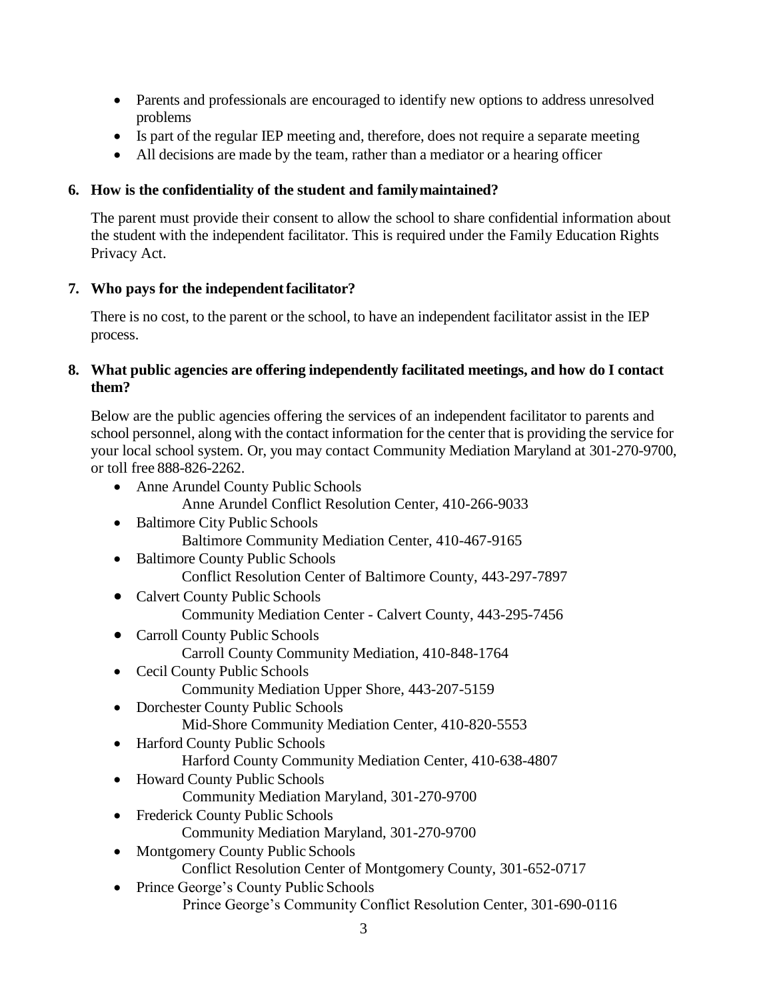- Parents and professionals are encouraged to identify new options to address unresolved problems
- Is part of the regular IEP meeting and, therefore, does not require a separate meeting
- All decisions are made by the team, rather than a mediator or a hearing officer

# **6. How is the confidentiality of the student and familymaintained?**

The parent must provide their consent to allow the school to share confidential information about the student with the independent facilitator. This is required under the Family Education Rights Privacy Act.

## **7. Who pays for the independentfacilitator?**

There is no cost, to the parent or the school, to have an independent facilitator assist in the IEP process.

## **8. What public agencies are offering independently facilitated meetings, and how do I contact them?**

Below are the public agencies offering the services of an independent facilitator to parents and school personnel, along with the contact information for the center that is providing the service for your local school system. Or, you may contact Community Mediation Maryland at 301-270-9700, or toll free 888-826-2262.

- Anne Arundel County Public Schools Anne Arundel Conflict Resolution Center, 410-266-9033
- Baltimore City Public Schools Baltimore Community Mediation Center, 410-467-9165
- Baltimore County Public Schools Conflict Resolution Center of Baltimore County, 443-297-7897
- Calvert County Public Schools Community Mediation Center - Calvert County, 443-295-7456
- Carroll County Public Schools Carroll County Community Mediation, 410-848-1764
- Cecil County Public Schools Community Mediation Upper Shore, 443-207-5159
- Dorchester County Public Schools Mid-Shore Community Mediation Center, 410-820-5553
- Harford County Public Schools Harford County Community Mediation Center, 410-638-4807
- Howard County Public Schools
	- Community Mediation Maryland, 301-270-9700
- Frederick County Public Schools
	- Community Mediation Maryland, 301-270-9700
- Montgomery County Public Schools Conflict Resolution Center of Montgomery County, 301-652-0717
- Prince George's County Public Schools Prince George's Community Conflict Resolution Center, 301-690-0116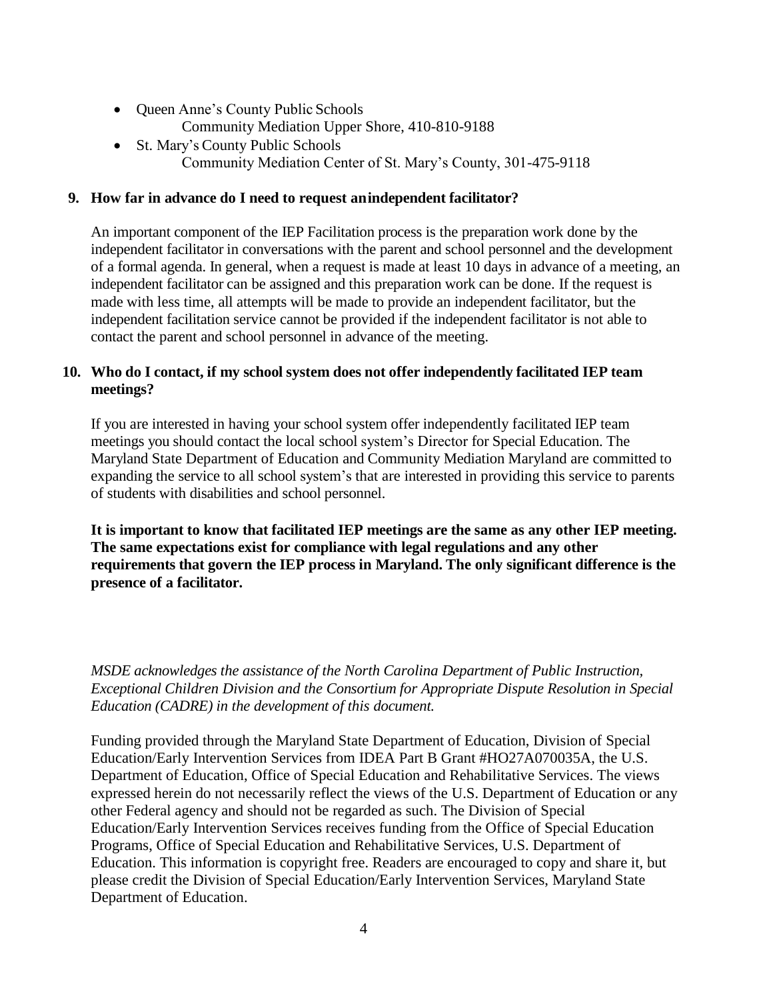- Queen Anne's County Public Schools Community Mediation Upper Shore, 410-810-9188
- St. Mary's County Public Schools Community Mediation Center of St. Mary's County, 301-475-9118

### **9. How far in advance do I need to request anindependent facilitator?**

An important component of the IEP Facilitation process is the preparation work done by the independent facilitator in conversations with the parent and school personnel and the development of a formal agenda. In general, when a request is made at least 10 days in advance of a meeting, an independent facilitator can be assigned and this preparation work can be done. If the request is made with less time, all attempts will be made to provide an independent facilitator, but the independent facilitation service cannot be provided if the independent facilitator is not able to contact the parent and school personnel in advance of the meeting.

### **10. Who do I contact, if my school system does not offer independently facilitated IEP team meetings?**

If you are interested in having your school system offer independently facilitated IEP team meetings you should contact the local school system's Director for Special Education. The Maryland State Department of Education and Community Mediation Maryland are committed to expanding the service to all school system's that are interested in providing this service to parents of students with disabilities and school personnel.

**It is important to know that facilitated IEP meetings are the same as any other IEP meeting. The same expectations exist for compliance with legal regulations and any other requirements that govern the IEP process in Maryland. The only significant difference is the presence of a facilitator.**

*MSDE acknowledges the assistance of the North Carolina Department of Public Instruction, Exceptional Children Division and the Consortium for Appropriate Dispute Resolution in Special Education (CADRE) in the development of this document.*

Funding provided through the Maryland State Department of Education, Division of Special Education/Early Intervention Services from IDEA Part B Grant #HO27A070035A, the U.S. Department of Education, Office of Special Education and Rehabilitative Services. The views expressed herein do not necessarily reflect the views of the U.S. Department of Education or any other Federal agency and should not be regarded as such. The Division of Special Education/Early Intervention Services receives funding from the Office of Special Education Programs, Office of Special Education and Rehabilitative Services, U.S. Department of Education. This information is copyright free. Readers are encouraged to copy and share it, but please credit the Division of Special Education/Early Intervention Services, Maryland State Department of Education.